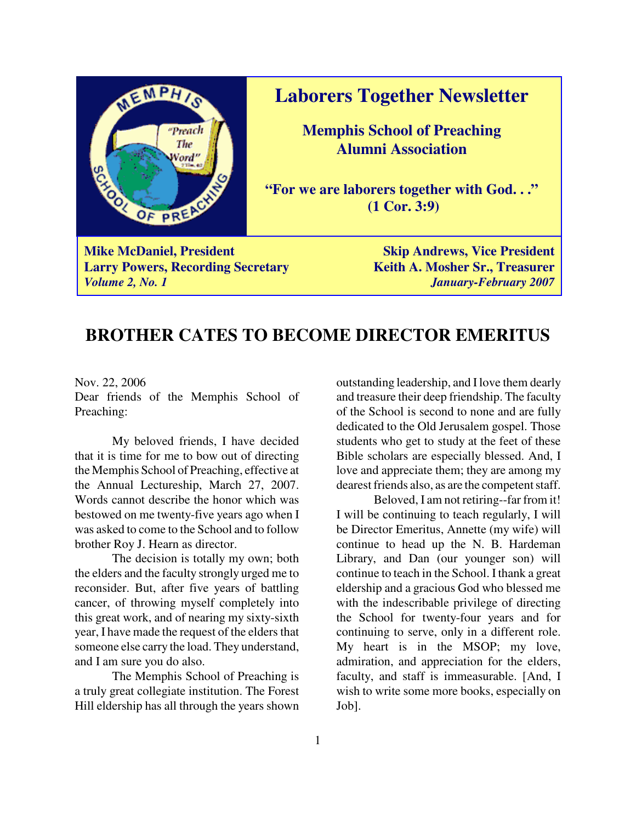

**Laborers Together Newsletter**

**Memphis School of Preaching Alumni Association**

**"For we are laborers together with God. . ." (1 Cor. 3:9)**

**Larry Powers, Recording Secretary Keith A. Mosher Sr., Treasurer** *Volume 2, No. 1 January-February 2007*

### **BROTHER CATES TO BECOME DIRECTOR EMERITUS**

Nov. 22, 2006

Dear friends of the Memphis School of Preaching:

My beloved friends, I have decided that it is time for me to bow out of directing the Memphis School of Preaching, effective at the Annual Lectureship, March 27, 2007. Words cannot describe the honor which was bestowed on me twenty-five years ago when I was asked to come to the School and to follow brother Roy J. Hearn as director.

The decision is totally my own; both the elders and the faculty strongly urged me to reconsider. But, after five years of battling cancer, of throwing myself completely into this great work, and of nearing my sixty-sixth year, I have made the request of the elders that someone else carry the load. They understand, and I am sure you do also.

The Memphis School of Preaching is a truly great collegiate institution. The Forest Hill eldership has all through the years shown

outstanding leadership, and I love them dearly and treasure their deep friendship. The faculty of the School is second to none and are fully dedicated to the Old Jerusalem gospel. Those students who get to study at the feet of these Bible scholars are especially blessed. And, I love and appreciate them; they are among my dearest friends also, as are the competent staff.

Beloved, I am not retiring--far from it! I will be continuing to teach regularly, I will be Director Emeritus, Annette (my wife) will continue to head up the N. B. Hardeman Library, and Dan (our younger son) will continue to teach in the School. I thank a great eldership and a gracious God who blessed me with the indescribable privilege of directing the School for twenty-four years and for continuing to serve, only in a different role. My heart is in the MSOP; my love, admiration, and appreciation for the elders, faculty, and staff is immeasurable. [And, I wish to write some more books, especially on Job].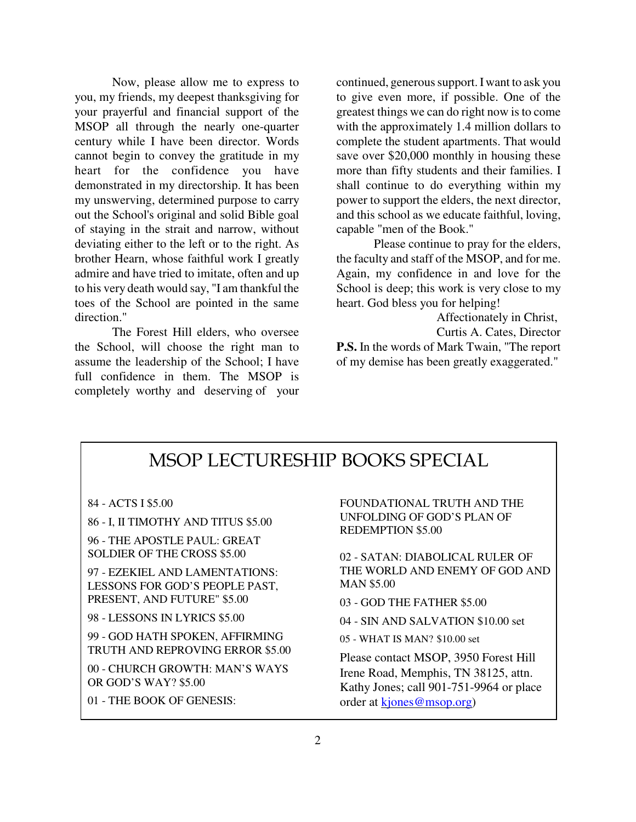Now, please allow me to express to you, my friends, my deepest thanksgiving for your prayerful and financial support of the MSOP all through the nearly one-quarter century while I have been director. Words cannot begin to convey the gratitude in my heart for the confidence you have demonstrated in my directorship. It has been my unswerving, determined purpose to carry out the School's original and solid Bible goal of staying in the strait and narrow, without deviating either to the left or to the right. As brother Hearn, whose faithful work I greatly admire and have tried to imitate, often and up to his very death would say, "I am thankful the toes of the School are pointed in the same direction."

The Forest Hill elders, who oversee the School, will choose the right man to assume the leadership of the School; I have full confidence in them. The MSOP is completely worthy and deserving of your

continued, generous support. I want to ask you to give even more, if possible. One of the greatest things we can do right now is to come with the approximately 1.4 million dollars to complete the student apartments. That would save over \$20,000 monthly in housing these more than fifty students and their families. I shall continue to do everything within my power to support the elders, the next director, and this school as we educate faithful, loving, capable "men of the Book."

Please continue to pray for the elders, the faculty and staff of the MSOP, and for me. Again, my confidence in and love for the School is deep; this work is very close to my heart. God bless you for helping!

Affectionately in Christ,

Curtis A. Cates, Director **P.S.** In the words of Mark Twain, "The report of my demise has been greatly exaggerated."

### MSOP LECTURESHIP BOOKS SPECIAL

84 - ACTS I \$5.00

86 - I, II TIMOTHY AND TITUS \$5.00

96 - THE APOSTLE PAUL: GREAT SOLDIER OF THE CROSS \$5.00

97 - EZEKIEL AND LAMENTATIONS: LESSONS FOR GOD'S PEOPLE PAST, PRESENT, AND FUTURE" \$5.00

98 - LESSONS IN LYRICS \$5.00

99 - GOD HATH SPOKEN, AFFIRMING TRUTH AND REPROVING ERROR \$5.00

00 - CHURCH GROWTH: MAN'S WAYS OR GOD'S WAY? \$5.00

01 - THE BOOK OF GENESIS:

FOUNDATIONAL TRUTH AND THE UNFOLDING OF GOD'S PLAN OF REDEMPTION \$5.00

02 - SATAN: DIABOLICAL RULER OF THE WORLD AND ENEMY OF GOD AND MAN \$5.00

03 - GOD THE FATHER \$5.00

04 - SIN AND SALVATION \$10.00 set

05 - WHAT IS MAN? \$10.00 set

Please contact MSOP, 3950 Forest Hill Irene Road, Memphis, TN 38125, attn. Kathy Jones; call 901-751-9964 or place order at kjones@msop.org)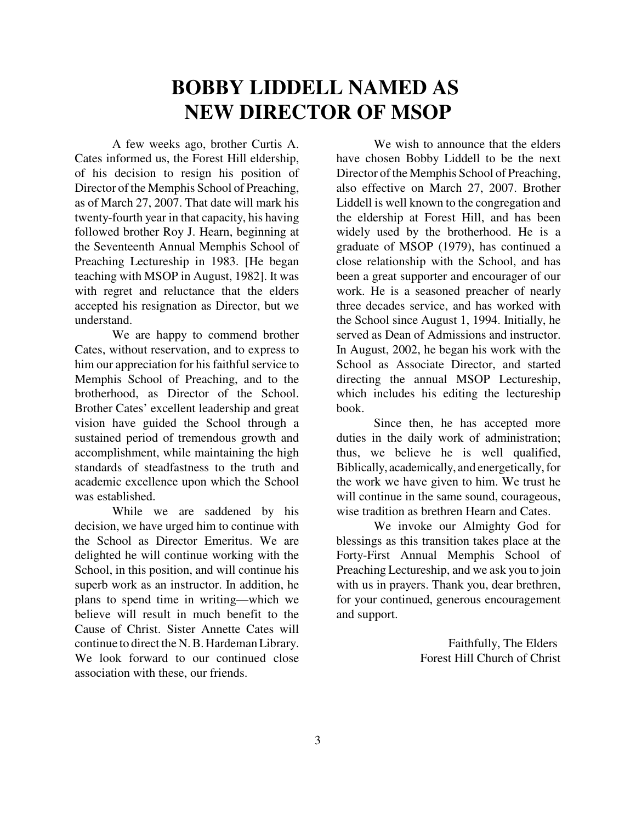## **BOBBY LIDDELL NAMED AS NEW DIRECTOR OF MSOP**

A few weeks ago, brother Curtis A. Cates informed us, the Forest Hill eldership, of his decision to resign his position of Director of the Memphis School of Preaching, as of March 27, 2007. That date will mark his twenty-fourth year in that capacity, his having followed brother Roy J. Hearn, beginning at the Seventeenth Annual Memphis School of Preaching Lectureship in 1983. [He began teaching with MSOP in August, 1982]. It was with regret and reluctance that the elders accepted his resignation as Director, but we understand.

We are happy to commend brother Cates, without reservation, and to express to him our appreciation for his faithful service to Memphis School of Preaching, and to the brotherhood, as Director of the School. Brother Cates' excellent leadership and great vision have guided the School through a sustained period of tremendous growth and accomplishment, while maintaining the high standards of steadfastness to the truth and academic excellence upon which the School was established.

While we are saddened by his decision, we have urged him to continue with the School as Director Emeritus. We are delighted he will continue working with the School, in this position, and will continue his superb work as an instructor. In addition, he plans to spend time in writing—which we believe will result in much benefit to the Cause of Christ. Sister Annette Cates will continue to direct the N. B. Hardeman Library. We look forward to our continued close association with these, our friends.

We wish to announce that the elders have chosen Bobby Liddell to be the next Director of the Memphis School of Preaching, also effective on March 27, 2007. Brother Liddell is well known to the congregation and the eldership at Forest Hill, and has been widely used by the brotherhood. He is a graduate of MSOP (1979), has continued a close relationship with the School, and has been a great supporter and encourager of our work. He is a seasoned preacher of nearly three decades service, and has worked with the School since August 1, 1994. Initially, he served as Dean of Admissions and instructor. In August, 2002, he began his work with the School as Associate Director, and started directing the annual MSOP Lectureship, which includes his editing the lectureship book.

Since then, he has accepted more duties in the daily work of administration; thus, we believe he is well qualified, Biblically, academically, and energetically, for the work we have given to him. We trust he will continue in the same sound, courageous, wise tradition as brethren Hearn and Cates.

We invoke our Almighty God for blessings as this transition takes place at the Forty-First Annual Memphis School of Preaching Lectureship, and we ask you to join with us in prayers. Thank you, dear brethren, for your continued, generous encouragement and support.

> Faithfully, The Elders Forest Hill Church of Christ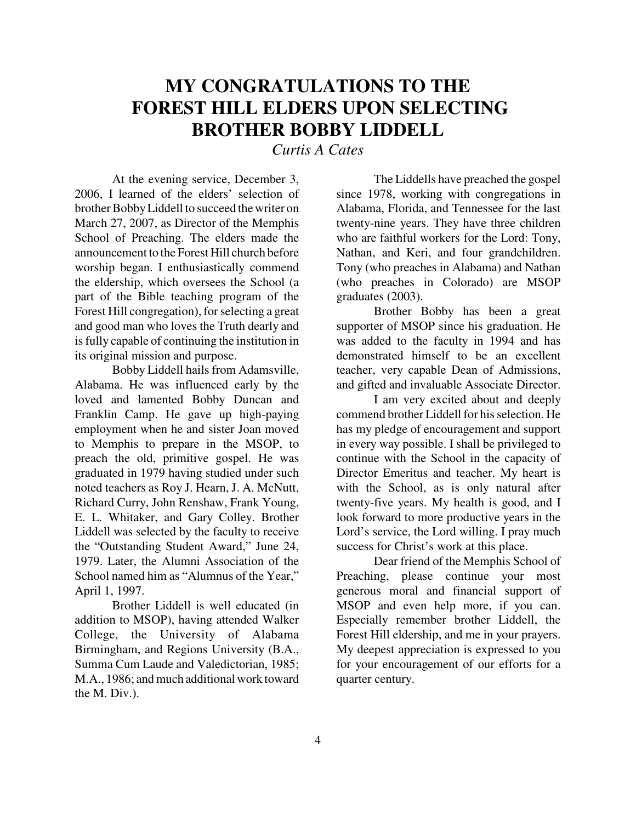## **MY CONGRATULATIONS TO THE FOREST HILL ELDERS UPON SELECTING BROTHER BOBBY LIDDELL**

### *Curtis A Cates*

At the evening service, December 3, 2006, I learned of the elders' selection of brother Bobby Liddell to succeed the writer on March 27, 2007, as Director of the Memphis School of Preaching. The elders made the announcement to the Forest Hill church before worship began. I enthusiastically commend the eldership, which oversees the School (a part of the Bible teaching program of the Forest Hill congregation), for selecting a great and good man who loves the Truth dearly and is fully capable of continuing the institution in its original mission and purpose.

Bobby Liddell hails from Adamsville, Alabama. He was influenced early by the loved and lamented Bobby Duncan and Franklin Camp. He gave up high-paying employment when he and sister Joan moved to Memphis to prepare in the MSOP, to preach the old, primitive gospel. He was graduated in 1979 having studied under such noted teachers as Roy J. Hearn, J. A. McNutt, Richard Curry, John Renshaw, Frank Young, E. L. Whitaker, and Gary Colley. Brother Liddell was selected by the faculty to receive the "Outstanding Student Award," June 24, 1979. Later, the Alumni Association of the School named him as "Alumnus of the Year," April 1, 1997.

Brother Liddell is well educated (in addition to MSOP), having attended Walker College, the University of Alabama Birmingham, and Regions University (B.A., Summa Cum Laude and Valedictorian, 1985; M.A., 1986; and much additional work toward the M. Div.).

The Liddells have preached the gospel since 1978, working with congregations in Alabama, Florida, and Tennessee for the last twenty-nine years. They have three children who are faithful workers for the Lord: Tony, Nathan, and Keri, and four grandchildren. Tony (who preaches in Alabama) and Nathan (who preaches in Colorado) are MSOP graduates (2003).

Brother Bobby has been a great supporter of MSOP since his graduation. He was added to the faculty in 1994 and has demonstrated himself to be an excellent teacher, very capable Dean of Admissions, and gifted and invaluable Associate Director.

I am very excited about and deeply commend brother Liddell for his selection. He has my pledge of encouragement and support in every way possible. I shall be privileged to continue with the School in the capacity of Director Emeritus and teacher. My heart is with the School, as is only natural after twenty-five years. My health is good, and I look forward to more productive years in the Lord's service, the Lord willing. I pray much success for Christ's work at this place.

Dear friend of the Memphis School of Preaching, please continue your most generous moral and financial support of MSOP and even help more, if you can. Especially remember brother Liddell, the Forest Hill eldership, and me in your prayers. My deepest appreciation is expressed to you for your encouragement of our efforts for a quarter century.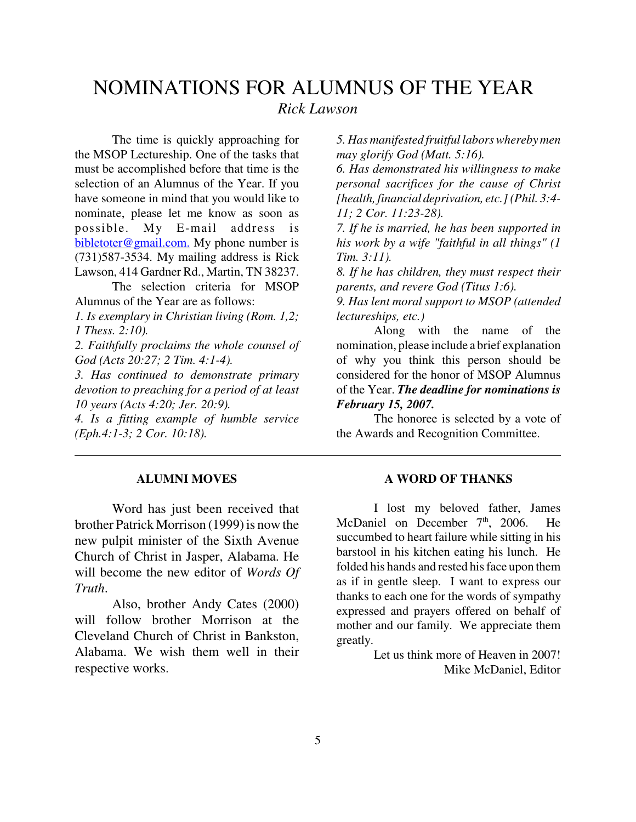### NOMINATIONS FOR ALUMNUS OF THE YEAR *Rick Lawson*

The time is quickly approaching for the MSOP Lectureship. One of the tasks that must be accomplished before that time is the selection of an Alumnus of the Year. If you have someone in mind that you would like to nominate, please let me know as soon as possible. My E-mail address is bibletoter@gmail.com. My phone number is (731)587-3534. My mailing address is Rick Lawson, 414 Gardner Rd., Martin, TN 38237.

The selection criteria for MSOP Alumnus of the Year are as follows:

*1. Is exemplary in Christian living (Rom. 1,2; 1 Thess. 2:10).*

*2. Faithfully proclaims the whole counsel of God (Acts 20:27; 2 Tim. 4:1-4).*

*3. Has continued to demonstrate primary devotion to preaching for a period of at least 10 years (Acts 4:20; Jer. 20:9).* 

*4. Is a fitting example of humble service (Eph.4:1-3; 2 Cor. 10:18).*

#### **ALUMNI MOVES**

Word has just been received that brother Patrick Morrison (1999) is now the new pulpit minister of the Sixth Avenue Church of Christ in Jasper, Alabama. He will become the new editor of *Words Of Truth*.

Also, brother Andy Cates (2000) will follow brother Morrison at the Cleveland Church of Christ in Bankston, Alabama. We wish them well in their respective works.

*5. Has manifested fruitful labors whereby men may glorify God (Matt. 5:16).*

*6. Has demonstrated his willingness to make personal sacrifices for the cause of Christ [health, financial deprivation, etc.] (Phil. 3:4- 11; 2 Cor. 11:23-28).* 

*7. If he is married, he has been supported in his work by a wife "faithful in all things" (1 Tim. 3:11).*

*8. If he has children, they must respect their parents, and revere God (Titus 1:6).*

*9. Has lent moral support to MSOP (attended lectureships, etc.)* 

Along with the name of the nomination, please include a brief explanation of why you think this person should be considered for the honor of MSOP Alumnus of the Year. *The deadline for nominations is February 15, 2007.*

The honoree is selected by a vote of the Awards and Recognition Committee.

#### **A WORD OF THANKS**

I lost my beloved father, James McDaniel on December  $7<sup>th</sup>$ , 2006. He succumbed to heart failure while sitting in his barstool in his kitchen eating his lunch. He folded his hands and rested his face upon them as if in gentle sleep. I want to express our thanks to each one for the words of sympathy expressed and prayers offered on behalf of mother and our family. We appreciate them greatly.

> Let us think more of Heaven in 2007! Mike McDaniel, Editor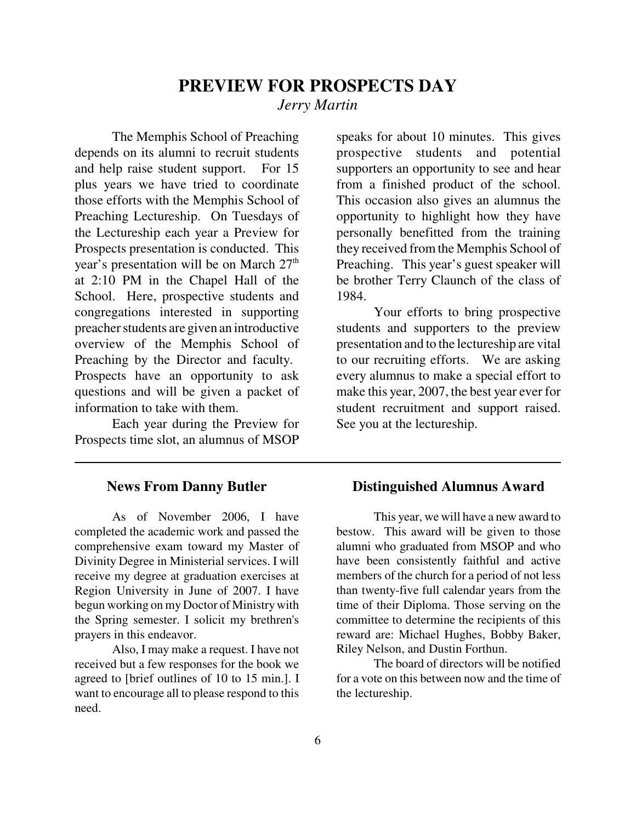### **PREVIEW FOR PROSPECTS DAY** *Jerry Martin*

The Memphis School of Preaching depends on its alumni to recruit students and help raise student support. For 15 plus years we have tried to coordinate those efforts with the Memphis School of Preaching Lectureship. On Tuesdays of the Lectureship each year a Preview for Prospects presentation is conducted. This year's presentation will be on March 27<sup>th</sup> at 2:10 PM in the Chapel Hall of the School. Here, prospective students and congregations interested in supporting preacher students are given an introductive overview of the Memphis School of Preaching by the Director and faculty. Prospects have an opportunity to ask questions and will be given a packet of information to take with them.

Each year during the Preview for Prospects time slot, an alumnus of MSOP

#### **News From Danny Butler**

As of November 2006, I have completed the academic work and passed the comprehensive exam toward my Master of Divinity Degree in Ministerial services. I will receive my degree at graduation exercises at Region University in June of 2007. I have begun working on my Doctor of Ministry with the Spring semester. I solicit my brethren's prayers in this endeavor.

Also, I may make a request. I have not received but a few responses for the book we agreed to [brief outlines of 10 to 15 min.]. I want to encourage all to please respond to this need.

speaks for about 10 minutes. This gives prospective students and potential supporters an opportunity to see and hear from a finished product of the school. This occasion also gives an alumnus the opportunity to highlight how they have personally benefitted from the training they received from the Memphis School of Preaching. This year's guest speaker will be brother Terry Claunch of the class of 1984.

Your efforts to bring prospective students and supporters to the preview presentation and to the lectureship are vital to our recruiting efforts. We are asking every alumnus to make a special effort to make this year, 2007, the best year ever for student recruitment and support raised. See you at the lectureship.

#### **Distinguished Alumnus Award**

This year, we will have a new award to bestow. This award will be given to those alumni who graduated from MSOP and who have been consistently faithful and active members of the church for a period of not less than twenty-five full calendar years from the time of their Diploma. Those serving on the committee to determine the recipients of this reward are: Michael Hughes, Bobby Baker, Riley Nelson, and Dustin Forthun.

The board of directors will be notified for a vote on this between now and the time of the lectureship.